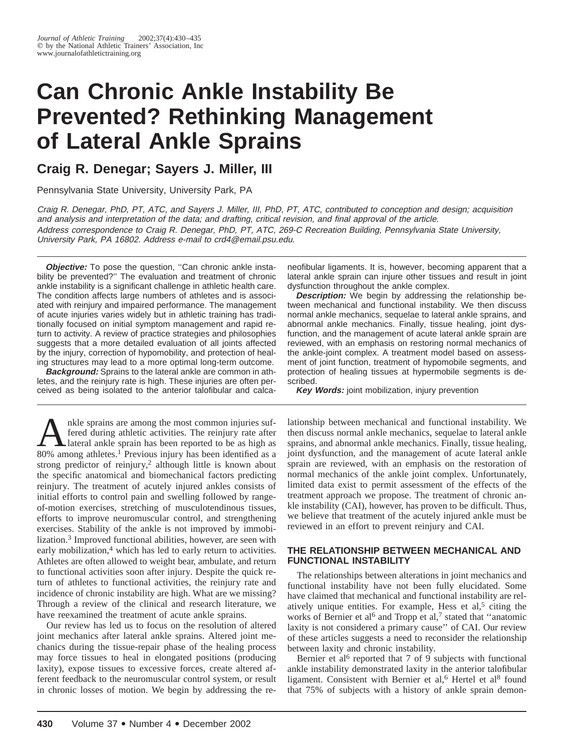# **Can Chronic Ankle Instability Be Prevented? Rethinking Management of Lateral Ankle Sprains**

# **Craig R. Denegar; Sayers J. Miller, III**

Pennsylvania State University, University Park, PA

Craig R. Denegar, PhD, PT, ATC, and Sayers J. Miller, III, PhD, PT, ATC, contributed to conception and design; acquisition and analysis and interpretation of the data; and drafting, critical revision, and final approval of the article. Address correspondence to Craig R. Denegar, PhD, PT, ATC, 269-C Recreation Building, Pennsylvania State University, University Park, PA 16802. Address e-mail to crd4@email.psu.edu.

**Objective:** To pose the question, "Can chronic ankle instability be prevented?'' The evaluation and treatment of chronic ankle instability is a significant challenge in athletic health care. The condition affects large numbers of athletes and is associated with reinjury and impaired performance. The management of acute injuries varies widely but in athletic training has traditionally focused on initial symptom management and rapid return to activity. A review of practice strategies and philosophies suggests that a more detailed evaluation of all joints affected by the injury, correction of hypomobility, and protection of healing structures may lead to a more optimal long-term outcome.

**Background:** Sprains to the lateral ankle are common in athletes, and the reinjury rate is high. These injuries are often perceived as being isolated to the anterior talofibular and calca-

The sprains are among the most common injuries suf-<br>fered during athletic activities. The reinjury rate after<br>and ankle sprain has been reported to be as high as<br> $80\%$  among athletes <sup>1</sup> Previous injury has been identifie fered during athletic activities. The reinjury rate after 80% among athletes.<sup>1</sup> Previous injury has been identified as a strong predictor of reinjury,<sup>2</sup> although little is known about the specific anatomical and biomechanical factors predicting reinjury. The treatment of acutely injured ankles consists of initial efforts to control pain and swelling followed by rangeof-motion exercises, stretching of musculotendinous tissues, efforts to improve neuromuscular control, and strengthening exercises. Stability of the ankle is not improved by immobilization.<sup>3</sup> Improved functional abilities, however, are seen with early mobilization,<sup>4</sup> which has led to early return to activities. Athletes are often allowed to weight bear, ambulate, and return to functional activities soon after injury. Despite the quick return of athletes to functional activities, the reinjury rate and incidence of chronic instability are high. What are we missing? Through a review of the clinical and research literature, we have reexamined the treatment of acute ankle sprains.

Our review has led us to focus on the resolution of altered joint mechanics after lateral ankle sprains. Altered joint mechanics during the tissue-repair phase of the healing process may force tissues to heal in elongated positions (producing laxity), expose tissues to excessive forces, create altered afferent feedback to the neuromuscular control system, or result in chronic losses of motion. We begin by addressing the re-

neofibular ligaments. It is, however, becoming apparent that a lateral ankle sprain can injure other tissues and result in joint dysfunction throughout the ankle complex.

**Description:** We begin by addressing the relationship between mechanical and functional instability. We then discuss normal ankle mechanics, sequelae to lateral ankle sprains, and abnormal ankle mechanics. Finally, tissue healing, joint dysfunction, and the management of acute lateral ankle sprain are reviewed, with an emphasis on restoring normal mechanics of the ankle-joint complex. A treatment model based on assessment of joint function, treatment of hypomobile segments, and protection of healing tissues at hypermobile segments is described.

**Key Words:** joint mobilization, injury prevention

lationship between mechanical and functional instability. We then discuss normal ankle mechanics, sequelae to lateral ankle sprains, and abnormal ankle mechanics. Finally, tissue healing, joint dysfunction, and the management of acute lateral ankle sprain are reviewed, with an emphasis on the restoration of normal mechanics of the ankle joint complex. Unfortunately, limited data exist to permit assessment of the effects of the treatment approach we propose. The treatment of chronic ankle instability (CAI), however, has proven to be difficult. Thus, we believe that treatment of the acutely injured ankle must be reviewed in an effort to prevent reinjury and CAI.

#### **THE RELATIONSHIP BETWEEN MECHANICAL AND FUNCTIONAL INSTABILITY**

The relationships between alterations in joint mechanics and functional instability have not been fully elucidated. Some have claimed that mechanical and functional instability are relatively unique entities. For example, Hess et al, $5$  citing the works of Bernier et al<sup>6</sup> and Tropp et al,<sup>7</sup> stated that "anatomic laxity is not considered a primary cause'' of CAI. Our review of these articles suggests a need to reconsider the relationship between laxity and chronic instability.

Bernier et al<sup>6</sup> reported that 7 of 9 subjects with functional ankle instability demonstrated laxity in the anterior talofibular ligament. Consistent with Bernier et al,<sup>6</sup> Hertel et al<sup>8</sup> found that 75% of subjects with a history of ankle sprain demon-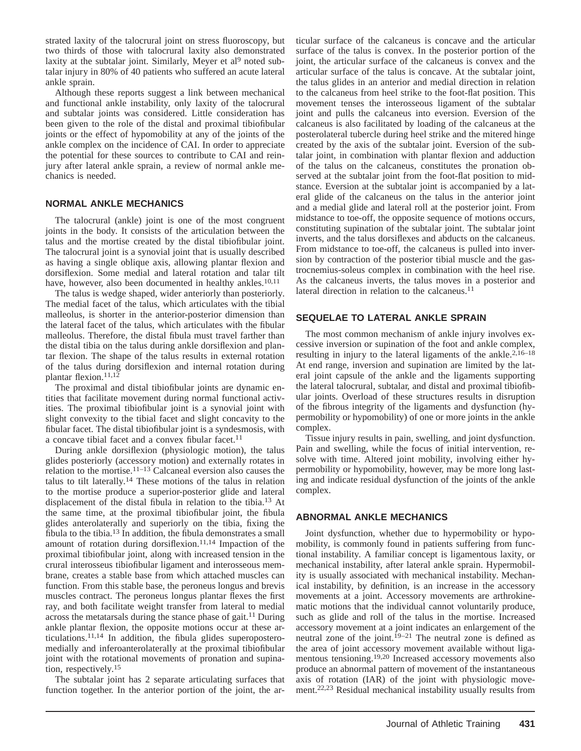strated laxity of the talocrural joint on stress fluoroscopy, but two thirds of those with talocrural laxity also demonstrated laxity at the subtalar joint. Similarly, Meyer et al<sup>9</sup> noted subtalar injury in 80% of 40 patients who suffered an acute lateral ankle sprain.

Although these reports suggest a link between mechanical and functional ankle instability, only laxity of the talocrural and subtalar joints was considered. Little consideration has been given to the role of the distal and proximal tibiofibular joints or the effect of hypomobility at any of the joints of the ankle complex on the incidence of CAI. In order to appreciate the potential for these sources to contribute to CAI and reinjury after lateral ankle sprain, a review of normal ankle mechanics is needed.

### **NORMAL ANKLE MECHANICS**

The talocrural (ankle) joint is one of the most congruent joints in the body. It consists of the articulation between the talus and the mortise created by the distal tibiofibular joint. The talocrural joint is a synovial joint that is usually described as having a single oblique axis, allowing plantar flexion and dorsiflexion. Some medial and lateral rotation and talar tilt have, however, also been documented in healthy ankles.<sup>10,11</sup>

The talus is wedge shaped, wider anteriorly than posteriorly. The medial facet of the talus, which articulates with the tibial malleolus, is shorter in the anterior-posterior dimension than the lateral facet of the talus, which articulates with the fibular malleolus. Therefore, the distal fibula must travel farther than the distal tibia on the talus during ankle dorsiflexion and plantar flexion. The shape of the talus results in external rotation of the talus during dorsiflexion and internal rotation during plantar flexion.<sup>11,12</sup>

The proximal and distal tibiofibular joints are dynamic entities that facilitate movement during normal functional activities. The proximal tibiofibular joint is a synovial joint with slight convexity to the tibial facet and slight concavity to the fibular facet. The distal tibiofibular joint is a syndesmosis, with a concave tibial facet and a convex fibular facet.<sup>11</sup>

During ankle dorsiflexion (physiologic motion), the talus glides posteriorly (accessory motion) and externally rotates in relation to the mortise.11–13 Calcaneal eversion also causes the talus to tilt laterally.14 These motions of the talus in relation to the mortise produce a superior-posterior glide and lateral displacement of the distal fibula in relation to the tibia.<sup>13</sup> At the same time, at the proximal tibiofibular joint, the fibula glides anterolaterally and superiorly on the tibia, fixing the fibula to the tibia.13 In addition, the fibula demonstrates a small amount of rotation during dorsiflexion. $11,14$  Impaction of the proximal tibiofibular joint, along with increased tension in the crural interosseus tibiofibular ligament and interosseous membrane, creates a stable base from which attached muscles can function. From this stable base, the peroneus longus and brevis muscles contract. The peroneus longus plantar flexes the first ray, and both facilitate weight transfer from lateral to medial across the metatarsals during the stance phase of gait.11 During ankle plantar flexion, the opposite motions occur at these articulations.11,14 In addition, the fibula glides superoposteromedially and inferoanterolaterally at the proximal tibiofibular joint with the rotational movements of pronation and supination, respectively.15

The subtalar joint has 2 separate articulating surfaces that function together. In the anterior portion of the joint, the articular surface of the calcaneus is concave and the articular surface of the talus is convex. In the posterior portion of the joint, the articular surface of the calcaneus is convex and the articular surface of the talus is concave. At the subtalar joint, the talus glides in an anterior and medial direction in relation to the calcaneus from heel strike to the foot-flat position. This movement tenses the interosseous ligament of the subtalar joint and pulls the calcaneus into eversion. Eversion of the calcaneus is also facilitated by loading of the calcaneus at the posterolateral tubercle during heel strike and the mitered hinge created by the axis of the subtalar joint. Eversion of the subtalar joint, in combination with plantar flexion and adduction of the talus on the calcaneus, constitutes the pronation observed at the subtalar joint from the foot-flat position to midstance. Eversion at the subtalar joint is accompanied by a lateral glide of the calcaneus on the talus in the anterior joint and a medial glide and lateral roll at the posterior joint. From midstance to toe-off, the opposite sequence of motions occurs, constituting supination of the subtalar joint. The subtalar joint inverts, and the talus dorsiflexes and abducts on the calcaneus. From midstance to toe-off, the calcaneus is pulled into inversion by contraction of the posterior tibial muscle and the gastrocnemius-soleus complex in combination with the heel rise. As the calcaneus inverts, the talus moves in a posterior and lateral direction in relation to the calcaneus.<sup>11</sup>

### **SEQUELAE TO LATERAL ANKLE SPRAIN**

The most common mechanism of ankle injury involves excessive inversion or supination of the foot and ankle complex, resulting in injury to the lateral ligaments of the ankle.2,16–18 At end range, inversion and supination are limited by the lateral joint capsule of the ankle and the ligaments supporting the lateral talocrural, subtalar, and distal and proximal tibiofibular joints. Overload of these structures results in disruption of the fibrous integrity of the ligaments and dysfunction (hypermobility or hypomobility) of one or more joints in the ankle complex.

Tissue injury results in pain, swelling, and joint dysfunction. Pain and swelling, while the focus of initial intervention, resolve with time. Altered joint mobility, involving either hypermobility or hypomobility, however, may be more long lasting and indicate residual dysfunction of the joints of the ankle complex.

### **ABNORMAL ANKLE MECHANICS**

Joint dysfunction, whether due to hypermobility or hypomobility, is commonly found in patients suffering from functional instability. A familiar concept is ligamentous laxity, or mechanical instability, after lateral ankle sprain. Hypermobility is usually associated with mechanical instability. Mechanical instability, by definition, is an increase in the accessory movements at a joint. Accessory movements are arthrokinematic motions that the individual cannot voluntarily produce, such as glide and roll of the talus in the mortise. Increased accessory movement at a joint indicates an enlargement of the neutral zone of the joint.<sup>19–21</sup> The neutral zone is defined as the area of joint accessory movement available without ligamentous tensioning.19,20 Increased accessory movements also produce an abnormal pattern of movement of the instantaneous axis of rotation (IAR) of the joint with physiologic movement.22,23 Residual mechanical instability usually results from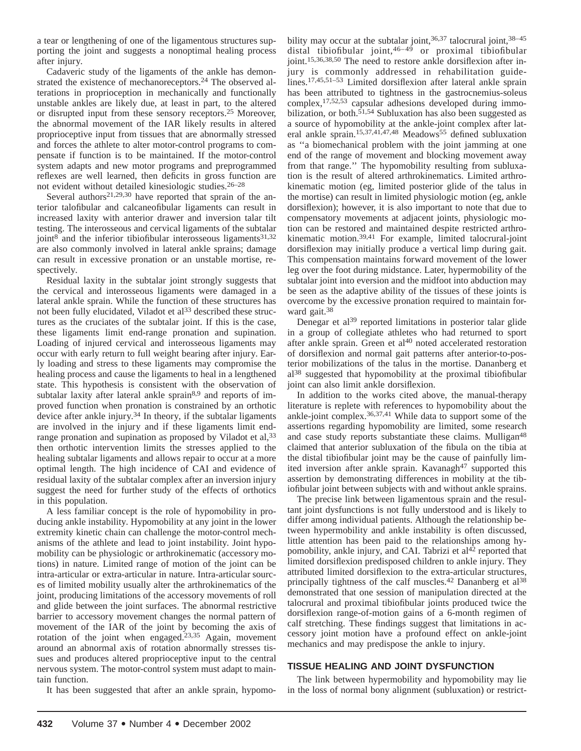a tear or lengthening of one of the ligamentous structures supporting the joint and suggests a nonoptimal healing process after injury.

Cadaveric study of the ligaments of the ankle has demonstrated the existence of mechanoreceptors.<sup>24</sup> The observed alterations in proprioception in mechanically and functionally unstable ankles are likely due, at least in part, to the altered or disrupted input from these sensory receptors.25 Moreover, the abnormal movement of the IAR likely results in altered proprioceptive input from tissues that are abnormally stressed and forces the athlete to alter motor-control programs to compensate if function is to be maintained. If the motor-control system adapts and new motor programs and preprogrammed reflexes are well learned, then deficits in gross function are not evident without detailed kinesiologic studies.26–28

Several authors<sup>21,29,30</sup> have reported that sprain of the anterior talofibular and calcaneofibular ligaments can result in increased laxity with anterior drawer and inversion talar tilt testing. The interosseous and cervical ligaments of the subtalar joint $8^{\circ}$  and the inferior tibiofibular interosseous ligaments<sup>31,32</sup> are also commonly involved in lateral ankle sprains; damage can result in excessive pronation or an unstable mortise, respectively.

Residual laxity in the subtalar joint strongly suggests that the cervical and interosseous ligaments were damaged in a lateral ankle sprain. While the function of these structures has not been fully elucidated, Viladot et al<sup>33</sup> described these structures as the cruciates of the subtalar joint. If this is the case, these ligaments limit end-range pronation and supination. Loading of injured cervical and interosseous ligaments may occur with early return to full weight bearing after injury. Early loading and stress to these ligaments may compromise the healing process and cause the ligaments to heal in a lengthened state. This hypothesis is consistent with the observation of subtalar laxity after lateral ankle sprain<sup>8,9</sup> and reports of improved function when pronation is constrained by an orthotic device after ankle injury.<sup>34</sup> In theory, if the subtalar ligaments are involved in the injury and if these ligaments limit endrange pronation and supination as proposed by Viladot et al,<sup>33</sup> then orthotic intervention limits the stresses applied to the healing subtalar ligaments and allows repair to occur at a more optimal length. The high incidence of CAI and evidence of residual laxity of the subtalar complex after an inversion injury suggest the need for further study of the effects of orthotics in this population.

A less familiar concept is the role of hypomobility in producing ankle instability. Hypomobility at any joint in the lower extremity kinetic chain can challenge the motor-control mechanisms of the athlete and lead to joint instability. Joint hypomobility can be physiologic or arthrokinematic (accessory motions) in nature. Limited range of motion of the joint can be intra-articular or extra-articular in nature. Intra-articular sources of limited mobility usually alter the arthrokinematics of the joint, producing limitations of the accessory movements of roll and glide between the joint surfaces. The abnormal restrictive barrier to accessory movement changes the normal pattern of movement of the IAR of the joint by becoming the axis of rotation of the joint when engaged.<sup>23,35</sup> Again, movement around an abnormal axis of rotation abnormally stresses tissues and produces altered proprioceptive input to the central nervous system. The motor-control system must adapt to maintain function.

It has been suggested that after an ankle sprain, hypomo-

bility may occur at the subtalar joint,  $36,37$  talocrural joint,  $38-45$ distal tibiofibular joint,  $46-49$  or proximal tibiofibular joint.<sup>15,36,38,50</sup> The need to restore ankle dorsiflexion after injury is commonly addressed in rehabilitation guidelines.17,45,51–53 Limited dorsiflexion after lateral ankle sprain has been attributed to tightness in the gastrocnemius-soleus complex,17,52,53 capsular adhesions developed during immobilization, or both. $51,54$  Subluxation has also been suggested as a source of hypomobility at the ankle-joint complex after lateral ankle sprain.<sup>15,37,41,47,48</sup> Meadows<sup>55</sup> defined subluxation as ''a biomechanical problem with the joint jamming at one end of the range of movement and blocking movement away from that range.'' The hypomobility resulting from subluxation is the result of altered arthrokinematics. Limited arthrokinematic motion (eg, limited posterior glide of the talus in the mortise) can result in limited physiologic motion (eg, ankle dorsiflexion); however, it is also important to note that due to compensatory movements at adjacent joints, physiologic motion can be restored and maintained despite restricted arthrokinematic motion.39,41 For example, limited talocrural-joint dorsiflexion may initially produce a vertical limp during gait. This compensation maintains forward movement of the lower leg over the foot during midstance. Later, hypermobility of the subtalar joint into eversion and the midfoot into abduction may be seen as the adaptive ability of the tissues of these joints is overcome by the excessive pronation required to maintain forward gait.<sup>38</sup>

Denegar et al<sup>39</sup> reported limitations in posterior talar glide in a group of collegiate athletes who had returned to sport after ankle sprain. Green et  $al<sup>40</sup>$  noted accelerated restoration of dorsiflexion and normal gait patterns after anterior-to-posterior mobilizations of the talus in the mortise. Dananberg et al38 suggested that hypomobility at the proximal tibiofibular joint can also limit ankle dorsiflexion.

In addition to the works cited above, the manual-therapy literature is replete with references to hypomobility about the ankle-joint complex.36,37,41 While data to support some of the assertions regarding hypomobility are limited, some research and case study reports substantiate these claims. Mulligan<sup>48</sup> claimed that anterior subluxation of the fibula on the tibia at the distal tibiofibular joint may be the cause of painfully limited inversion after ankle sprain. Kavanagh<sup>47</sup> supported this assertion by demonstrating differences in mobility at the tibiofibular joint between subjects with and without ankle sprains.

The precise link between ligamentous sprain and the resultant joint dysfunctions is not fully understood and is likely to differ among individual patients. Although the relationship between hypermobility and ankle instability is often discussed, little attention has been paid to the relationships among hypomobility, ankle injury, and CAI. Tabrizi et al<sup>42</sup> reported that limited dorsiflexion predisposed children to ankle injury. They attributed limited dorsiflexion to the extra-articular structures, principally tightness of the calf muscles.<sup>42</sup> Dananberg et al<sup>38</sup> demonstrated that one session of manipulation directed at the talocrural and proximal tibiofibular joints produced twice the dorsiflexion range-of-motion gains of a 6-month regimen of calf stretching. These findings suggest that limitations in accessory joint motion have a profound effect on ankle-joint mechanics and may predispose the ankle to injury.

### **TISSUE HEALING AND JOINT DYSFUNCTION**

The link between hypermobility and hypomobility may lie in the loss of normal bony alignment (subluxation) or restrict-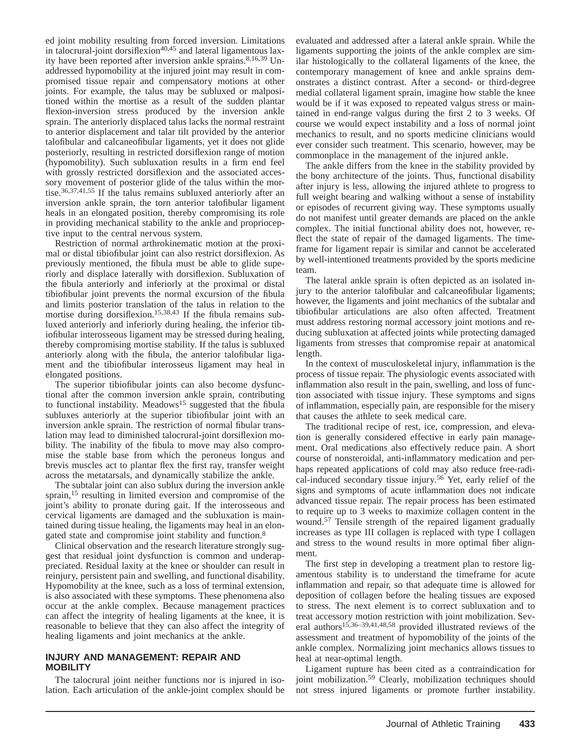ed joint mobility resulting from forced inversion. Limitations in talocrural-joint dorsiflexion $40,45$  and lateral ligamentous laxity have been reported after inversion ankle sprains.8,16,39 Unaddressed hypomobility at the injured joint may result in compromised tissue repair and compensatory motions at other joints. For example, the talus may be subluxed or malpositioned within the mortise as a result of the sudden plantar flexion-inversion stress produced by the inversion ankle sprain. The anteriorly displaced talus lacks the normal restraint to anterior displacement and talar tilt provided by the anterior talofibular and calcaneofibular ligaments, yet it does not glide posteriorly, resulting in restricted dorsiflexion range of motion (hypomobility). Such subluxation results in a firm end feel with grossly restricted dorsiflexion and the associated accessory movement of posterior glide of the talus within the mortise.36,37,41,55 If the talus remains subluxed anteriorly after an inversion ankle sprain, the torn anterior talofibular ligament heals in an elongated position, thereby compromising its role in providing mechanical stability to the ankle and proprioceptive input to the central nervous system.

Restriction of normal arthrokinematic motion at the proximal or distal tibiofibular joint can also restrict dorsiflexion. As previously mentioned, the fibula must be able to glide superiorly and displace laterally with dorsiflexion. Subluxation of the fibula anteriorly and inferiorly at the proximal or distal tibiofibular joint prevents the normal excursion of the fibula and limits posterior translation of the talus in relation to the mortise during dorsiflexion.<sup>15,38,43</sup> If the fibula remains subluxed anteriorly and inferiorly during healing, the inferior tibiofibular interosseous ligament may be stressed during healing, thereby compromising mortise stability. If the talus is subluxed anteriorly along with the fibula, the anterior talofibular ligament and the tibiofibular interosseus ligament may heal in elongated positions.

The superior tibiofibular joints can also become dysfunctional after the common inversion ankle sprain, contributing to functional instability. Meadows<sup>15</sup> suggested that the fibula subluxes anteriorly at the superior tibiofibular joint with an inversion ankle sprain. The restriction of normal fibular translation may lead to diminished talocrural-joint dorsiflexion mobility. The inability of the fibula to move may also compromise the stable base from which the peroneus longus and brevis muscles act to plantar flex the first ray, transfer weight across the metatarsals, and dynamically stabilize the ankle.

The subtalar joint can also sublux during the inversion ankle sprain,<sup>15</sup> resulting in limited eversion and compromise of the joint's ability to pronate during gait. If the interosseous and cervical ligaments are damaged and the subluxation is maintained during tissue healing, the ligaments may heal in an elongated state and compromise joint stability and function.8

Clinical observation and the research literature strongly suggest that residual joint dysfunction is common and underappreciated. Residual laxity at the knee or shoulder can result in reinjury, persistent pain and swelling, and functional disability. Hypomobility at the knee, such as a loss of terminal extension, is also associated with these symptoms. These phenomena also occur at the ankle complex. Because management practices can affect the integrity of healing ligaments at the knee, it is reasonable to believe that they can also affect the integrity of healing ligaments and joint mechanics at the ankle.

## **INJURY AND MANAGEMENT: REPAIR AND MOBILITY**

The talocrural joint neither functions nor is injured in isolation. Each articulation of the ankle-joint complex should be evaluated and addressed after a lateral ankle sprain. While the ligaments supporting the joints of the ankle complex are similar histologically to the collateral ligaments of the knee, the contemporary management of knee and ankle sprains demonstrates a distinct contrast. After a second- or third-degree medial collateral ligament sprain, imagine how stable the knee would be if it was exposed to repeated valgus stress or maintained in end-range valgus during the first 2 to 3 weeks. Of course we would expect instability and a loss of normal joint mechanics to result, and no sports medicine clinicians would ever consider such treatment. This scenario, however, may be commonplace in the management of the injured ankle.

The ankle differs from the knee in the stability provided by the bony architecture of the joints. Thus, functional disability after injury is less, allowing the injured athlete to progress to full weight bearing and walking without a sense of instability or episodes of recurrent giving way. These symptoms usually do not manifest until greater demands are placed on the ankle complex. The initial functional ability does not, however, reflect the state of repair of the damaged ligaments. The timeframe for ligament repair is similar and cannot be accelerated by well-intentioned treatments provided by the sports medicine team.

The lateral ankle sprain is often depicted as an isolated injury to the anterior talofibular and calcaneofibular ligaments; however, the ligaments and joint mechanics of the subtalar and tibiofibular articulations are also often affected. Treatment must address restoring normal accessory joint motions and reducing subluxation at affected joints while protecting damaged ligaments from stresses that compromise repair at anatomical length.

In the context of musculoskeletal injury, inflammation is the process of tissue repair. The physiologic events associated with inflammation also result in the pain, swelling, and loss of function associated with tissue injury. These symptoms and signs of inflammation, especially pain, are responsible for the misery that causes the athlete to seek medical care.

The traditional recipe of rest, ice, compression, and elevation is generally considered effective in early pain management. Oral medications also effectively reduce pain. A short course of nonsteroidal, anti-inflammatory medication and perhaps repeated applications of cold may also reduce free-radical-induced secondary tissue injury.<sup>56</sup> Yet, early relief of the signs and symptoms of acute inflammation does not indicate advanced tissue repair. The repair process has been estimated to require up to 3 weeks to maximize collagen content in the wound.57 Tensile strength of the repaired ligament gradually increases as type III collagen is replaced with type I collagen and stress to the wound results in more optimal fiber alignment.

The first step in developing a treatment plan to restore ligamentous stability is to understand the timeframe for acute inflammation and repair, so that adequate time is allowed for deposition of collagen before the healing tissues are exposed to stress. The next element is to correct subluxation and to treat accessory motion restriction with joint mobilization. Several authors15,36–39,41,48,58 provided illustrated reviews of the assessment and treatment of hypomobility of the joints of the ankle complex. Normalizing joint mechanics allows tissues to heal at near-optimal length.

Ligament rupture has been cited as a contraindication for joint mobilization.<sup>59</sup> Clearly, mobilization techniques should not stress injured ligaments or promote further instability.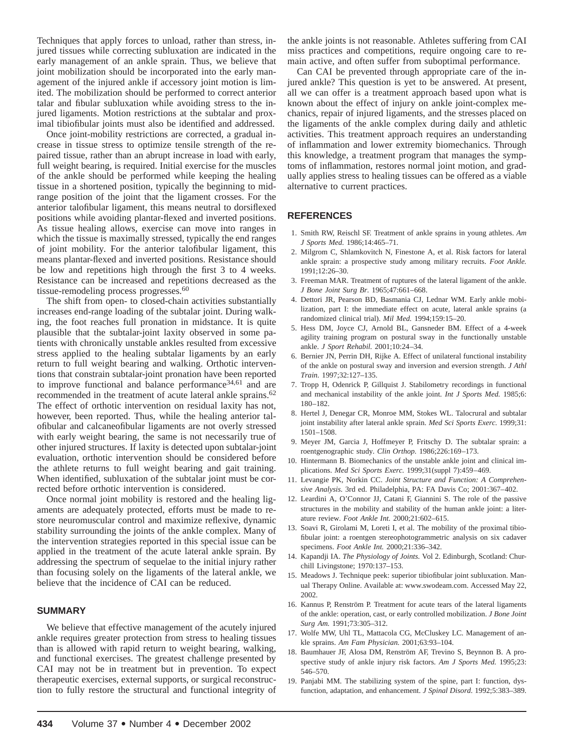Techniques that apply forces to unload, rather than stress, injured tissues while correcting subluxation are indicated in the early management of an ankle sprain. Thus, we believe that joint mobilization should be incorporated into the early management of the injured ankle if accessory joint motion is limited. The mobilization should be performed to correct anterior talar and fibular subluxation while avoiding stress to the injured ligaments. Motion restrictions at the subtalar and proximal tibiofibular joints must also be identified and addressed.

Once joint-mobility restrictions are corrected, a gradual increase in tissue stress to optimize tensile strength of the repaired tissue, rather than an abrupt increase in load with early, full weight bearing, is required. Initial exercise for the muscles of the ankle should be performed while keeping the healing tissue in a shortened position, typically the beginning to midrange position of the joint that the ligament crosses. For the anterior talofibular ligament, this means neutral to dorsiflexed positions while avoiding plantar-flexed and inverted positions. As tissue healing allows, exercise can move into ranges in which the tissue is maximally stressed, typically the end ranges of joint mobility. For the anterior talofibular ligament, this means plantar-flexed and inverted positions. Resistance should be low and repetitions high through the first 3 to 4 weeks. Resistance can be increased and repetitions decreased as the tissue-remodeling process progresses.<sup>60</sup>

The shift from open- to closed-chain activities substantially increases end-range loading of the subtalar joint. During walking, the foot reaches full pronation in midstance. It is quite plausible that the subtalar-joint laxity observed in some patients with chronically unstable ankles resulted from excessive stress applied to the healing subtalar ligaments by an early return to full weight bearing and walking. Orthotic interventions that constrain subtalar-joint pronation have been reported to improve functional and balance performance<sup>34,61</sup> and are recommended in the treatment of acute lateral ankle sprains.<sup>62</sup> The effect of orthotic intervention on residual laxity has not, however, been reported. Thus, while the healing anterior talofibular and calcaneofibular ligaments are not overly stressed with early weight bearing, the same is not necessarily true of other injured structures. If laxity is detected upon subtalar-joint evaluation, orthotic intervention should be considered before the athlete returns to full weight bearing and gait training. When identified, subluxation of the subtalar joint must be corrected before orthotic intervention is considered.

Once normal joint mobility is restored and the healing ligaments are adequately protected, efforts must be made to restore neuromuscular control and maximize reflexive, dynamic stability surrounding the joints of the ankle complex. Many of the intervention strategies reported in this special issue can be applied in the treatment of the acute lateral ankle sprain. By addressing the spectrum of sequelae to the initial injury rather than focusing solely on the ligaments of the lateral ankle, we believe that the incidence of CAI can be reduced.

#### **SUMMARY**

We believe that effective management of the acutely injured ankle requires greater protection from stress to healing tissues than is allowed with rapid return to weight bearing, walking, and functional exercises. The greatest challenge presented by CAI may not be in treatment but in prevention. To expect therapeutic exercises, external supports, or surgical reconstruction to fully restore the structural and functional integrity of

the ankle joints is not reasonable. Athletes suffering from CAI miss practices and competitions, require ongoing care to remain active, and often suffer from suboptimal performance.

Can CAI be prevented through appropriate care of the injured ankle? This question is yet to be answered. At present, all we can offer is a treatment approach based upon what is known about the effect of injury on ankle joint-complex mechanics, repair of injured ligaments, and the stresses placed on the ligaments of the ankle complex during daily and athletic activities. This treatment approach requires an understanding of inflammation and lower extremity biomechanics. Through this knowledge, a treatment program that manages the symptoms of inflammation, restores normal joint motion, and gradually applies stress to healing tissues can be offered as a viable alternative to current practices.

#### **REFERENCES**

- 1. Smith RW, Reischl SF. Treatment of ankle sprains in young athletes. *Am J Sports Med.* 1986;14:465–71.
- 2. Milgrom C, Shlamkovitch N, Finestone A, et al. Risk factors for lateral ankle sprain: a prospective study among military recruits. *Foot Ankle.* 1991;12:26–30.
- 3. Freeman MAR. Treatment of ruptures of the lateral ligament of the ankle. *J Bone Joint Surg Br.* 1965;47:661–668.
- 4. Dettori JR, Pearson BD, Basmania CJ, Lednar WM. Early ankle mobilization, part I: the immediate effect on acute, lateral ankle sprains (a randomized clinical trial). *Mil Med.* 1994;159:15–20.
- 5. Hess DM, Joyce CJ, Arnold BL, Gansneder BM. Effect of a 4-week agility training program on postural sway in the functionally unstable ankle. *J Sport Rehabil.* 2001;10:24–34.
- 6. Bernier JN, Perrin DH, Rijke A. Effect of unilateral functional instability of the ankle on postural sway and inversion and eversion strength. *J Athl Train.* 1997;32:127–135.
- 7. Tropp H, Odenrick P, Gillquist J. Stabilometry recordings in functional and mechanical instability of the ankle joint. *Int J Sports Med.* 1985;6: 180–182.
- 8. Hertel J, Denegar CR, Monroe MM, Stokes WL. Talocrural and subtalar joint instability after lateral ankle sprain. *Med Sci Sports Exerc.* 1999;31: 1501–1508.
- 9. Meyer JM, Garcia J, Hoffmeyer P, Fritschy D. The subtalar sprain: a roentgenographic study. *Clin Orthop.* 1986;226:169–173.
- 10. Hintermann B. Biomechanics of the unstable ankle joint and clinical implications. *Med Sci Sports Exerc.* 1999;31(suppl 7):459–469.
- 11. Levangie PK, Norkin CC. *Joint Structure and Function: A Comprehensive Analysis.* 3rd ed. Philadelphia, PA: FA Davis Co; 2001:367–402.
- 12. Leardini A, O'Connor JJ, Catani F, Giannini S. The role of the passive structures in the mobility and stability of the human ankle joint: a literature review. *Foot Ankle Int.* 2000;21:602–615.
- 13. Soavi R, Girolami M, Loreti I, et al. The mobility of the proximal tibiofibular joint: a roentgen stereophotogrammetric analysis on six cadaver specimens. *Foot Ankle Int.* 2000;21:336–342.
- 14. Kapandji IA. *The Physiology of Joints.* Vol 2. Edinburgh, Scotland: Churchill Livingstone; 1970:137–153.
- 15. Meadows J. Technique peek: superior tibiofibular joint subluxation. Manual Therapy Online. Available at: www.swodeam.com. Accessed May 22, 2002.
- 16. Kannus P, Renström P. Treatment for acute tears of the lateral ligaments of the ankle: operation, cast, or early controlled mobilization. *J Bone Joint Surg Am.* 1991;73:305–312.
- 17. Wolfe MW, Uhl TL, Mattacola CG, McCluskey LC. Management of ankle sprains. *Am Fam Physician.* 2001;63:93–104.
- 18. Baumhauer JF, Alosa DM, Renström AF, Trevino S, Beynnon B. A prospective study of ankle injury risk factors. *Am J Sports Med.* 1995;23: 546–570.
- 19. Panjabi MM. The stabilizing system of the spine, part I: function, dysfunction, adaptation, and enhancement. *J Spinal Disord.* 1992;5:383–389.